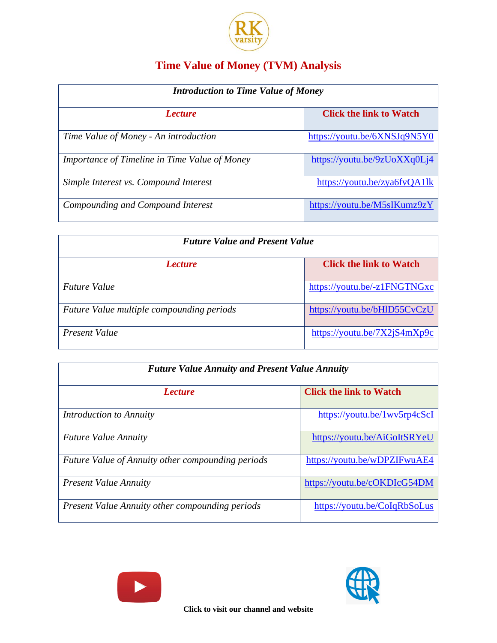

## **Time Value of Money (TVM) Analysis**

| <b>Introduction to Time Value of Money</b>    |                                |  |
|-----------------------------------------------|--------------------------------|--|
| <i>Lecture</i>                                | <b>Click the link to Watch</b> |  |
| Time Value of Money - An introduction         | https://youtu.be/6XNSJq9N5Y0   |  |
| Importance of Timeline in Time Value of Money | https://youtu.be/9zUoXXq0Lj4   |  |
| Simple Interest vs. Compound Interest         | https://youtu.be/zya6fvQA1lk   |  |
| Compounding and Compound Interest             | https://youtu.be/M5sIKumz9zY   |  |

| <b>Future Value and Present Value</b>     |                                |  |
|-------------------------------------------|--------------------------------|--|
| <i>Lecture</i>                            | <b>Click the link to Watch</b> |  |
| <i>Future Value</i>                       | https://youtu.be/-z1FNGTNGxc   |  |
| Future Value multiple compounding periods | https://youtu.be/bHlD55CvCzU   |  |
| Present Value                             | https://youtu.be/7X2jS4mXp9c   |  |

| <b>Future Value Annuity and Present Value Annuity</b>    |                                |  |
|----------------------------------------------------------|--------------------------------|--|
| <i>Lecture</i>                                           | <b>Click the link to Watch</b> |  |
| Introduction to Annuity                                  | https://youtu.be/1wv5rp4cScI   |  |
| <b>Future Value Annuity</b>                              | https://youtu.be/AiGoItSRYeU   |  |
| <b>Future Value of Annuity other compounding periods</b> | https://youtu.be/wDPZIFwuAE4   |  |
| <b>Present Value Annuity</b>                             | https://youtu.be/cOKDIcG54DM   |  |
| <b>Present Value Annuity other compounding periods</b>   | https://youtu.be/CoIqRbSoLus   |  |